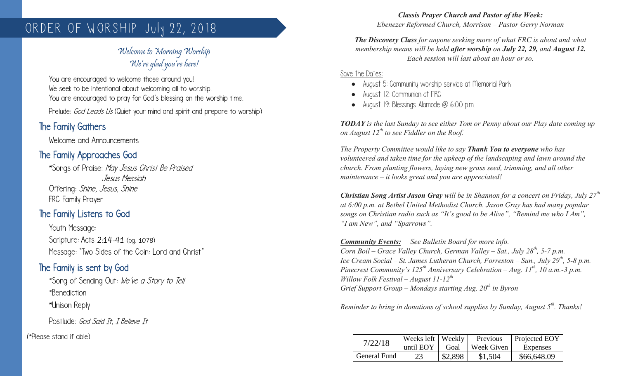# ORDER OF WORSHIP July 22, 2018

## Welcome to Morning Worship We're glad you're here!

You are encouraged to welcome those around you! We seek to be intentional about welcoming all to worship. You are encouraged to pray for God's blessing on the worship time.

Prelude: God Leads Us (Quiet your mind and spirit and prepare to worship)

### The Family Gathers

Welcome and Announcements

## The Family Approaches God

\*Songs of Praise: May Jesus Christ Be Praised Jesus Messiah Offering: Shine, Jesus, Shine FRC Family Prayer

## The Family Listens to God

Youth Message: Scripture: Acts 2:14-41 (pg. 1078) Message: "Two Sides of the Coin: Lord and Christ"

## The Family is sent by God

\*Song of Sending Out: We've a Story to Tell \*Benediction \*Unison Reply

Postlude: God Said Tt. T Believe Tt

(\*Please stand if able)

*Classis Prayer Church and Pastor of the Week: Ebenezer Reformed Church, Morrison – Pastor Gerry Norman*

*The Discovery Class for anyone seeking more of what FRC is about and what membership means will be held after worship on July 22, 29, and August 12. Each session will last about an hour or so.*

Save the Dates:

- August 5: Community worship service at Memorial Park
- August 12: Communion at FRC
- August 19: Blessings Alamode @ 6:00 p.m.

*TODAY is the last Sunday to see either Tom or Penny about our Play date coming up on August 12th to see Fiddler on the Roof.*

*The Property Committee would like to say Thank You to everyone who has volunteered and taken time for the upkeep of the landscaping and lawn around the church. From planting flowers, laying new grass seed, trimming, and all other maintenance – it looks great and you are appreciated!* 

*Christian Song Artist Jason Gray will be in Shannon for a concert on Friday, July 27th at 6:00 p.m. at Bethel United Methodist Church. Jason Gray has had many popular songs on Christian radio such as "It's good to be Alive", "Remind me who I Am", "I am New", and "Sparrows".*

*Community Events: See Bulletin Board for more info. Corn Boil – Grace Valley Church, German Valley – Sat., July 28<sup>th</sup>, 5-7 p.m. Ice Cream Social – St. James Lutheran Church, Forreston – Sun., July 29th, 5-8 p.m. Pinecrest Community's 125th Anniversary Celebration – Aug. 11th, 10 a.m.-3 p.m. Willow Folk Festival – August 11-12th Grief Support Group – Mondays starting Aug. 20th in Byron*

*Reminder to bring in donations of school supplies by Sunday, August 5th. Thanks!*

| 7/22/18      | Weeks left   Weekly<br>until EOY | Goal    | Previous<br>Week Given | <b>Projected EOY</b><br>Expenses |
|--------------|----------------------------------|---------|------------------------|----------------------------------|
| General Fund | 23                               | \$2,898 | \$1,504                | \$66,648.09                      |